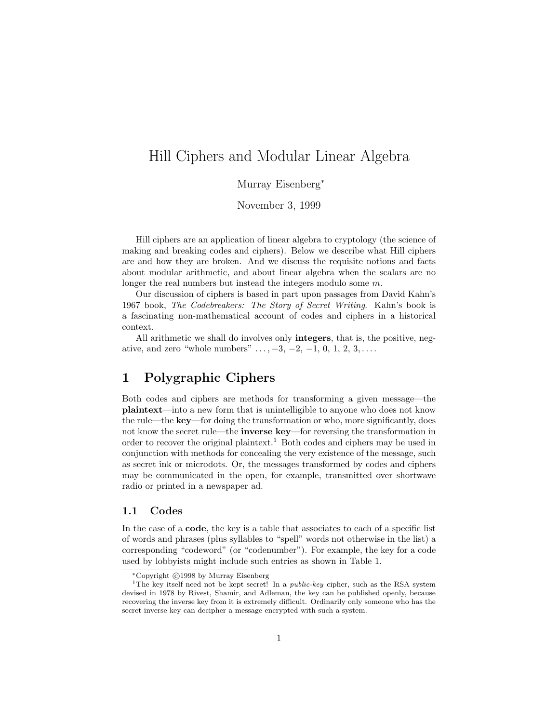# Hill Ciphers and Modular Linear Algebra

Murray Eisenberg<sup>∗</sup>

November 3, 1999

Hill ciphers are an application of linear algebra to cryptology (the science of making and breaking codes and ciphers). Below we describe what Hill ciphers are and how they are broken. And we discuss the requisite notions and facts about modular arithmetic, and about linear algebra when the scalars are no longer the real numbers but instead the integers modulo some m.

Our discussion of ciphers is based in part upon passages from David Kahn's 1967 book, The Codebreakers: The Story of Secret Writing. Kahn's book is a fascinating non-mathematical account of codes and ciphers in a historical context.

All arithmetic we shall do involves only **integers**, that is, the positive, negative, and zero "whole numbers"  $\dots$ , -3, -2, -1, 0, 1, 2, 3, $\dots$ .

## **1 Polygraphic Ciphers**

Both codes and ciphers are methods for transforming a given message—the **plaintext**—into a new form that is unintelligible to anyone who does not know the rule—the **key**—for doing the transformation or who, more significantly, does not know the secret rule—the **inverse key**—for reversing the transformation in order to recover the original plaintext.<sup>1</sup> Both codes and ciphers may be used in conjunction with methods for concealing the very existence of the message, such as secret ink or microdots. Or, the messages transformed by codes and ciphers may be communicated in the open, for example, transmitted over shortwave radio or printed in a newspaper ad.

#### **1.1 Codes**

In the case of a **code**, the key is a table that associates to each of a specific list of words and phrases (plus syllables to "spell" words not otherwise in the list) a corresponding "codeword" (or "codenumber"). For example, the key for a code used by lobbyists might include such entries as shown in Table 1.

<sup>\*</sup>Copyright ©1998 by Murray Eisenberg

<sup>&</sup>lt;sup>1</sup>The key itself need not be kept secret! In a *public-key* cipher, such as the RSA system devised in 1978 by Rivest, Shamir, and Adleman, the key can be published openly, because recovering the inverse key from it is extremely difficult. Ordinarily only someone who has the secret inverse key can decipher a message encrypted with such a system.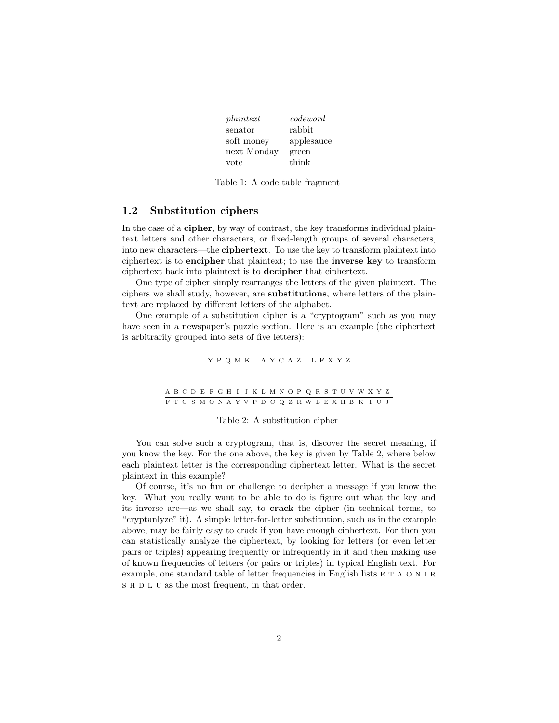| plaintext   | codeword   |
|-------------|------------|
| senator     | rabbit     |
| soft money  | applesauce |
| next Monday | green      |
| vote        | think      |

Table 1: A code table fragment

#### **1.2 Substitution ciphers**

In the case of a **cipher**, by way of contrast, the key transforms individual plaintext letters and other characters, or fixed-length groups of several characters, into new characters—the **ciphertext**. To use the key to transform plaintext into ciphertext is to **encipher** that plaintext; to use the **inverse key** to transform ciphertext back into plaintext is to **decipher** that ciphertext.

One type of cipher simply rearranges the letters of the given plaintext. The ciphers we shall study, however, are **substitutions**, where letters of the plaintext are replaced by different letters of the alphabet.

One example of a substitution cipher is a "cryptogram" such as you may have seen in a newspaper's puzzle section. Here is an example (the ciphertext is arbitrarily grouped into sets of five letters):

$$
Y \, P \, Q \, M \, K \quad A \, Y \, C \, A \, Z \quad L \, F \, X \, Y \, Z
$$

#### abcde fgh i jklmnopqrstuvwxyz ftgsmonayvpdcqzrwlexhbk i uj

#### Table 2: A substitution cipher

You can solve such a cryptogram, that is, discover the secret meaning, if you know the key. For the one above, the key is given by Table 2, where below each plaintext letter is the corresponding ciphertext letter. What is the secret plaintext in this example?

Of course, it's no fun or challenge to decipher a message if you know the key. What you really want to be able to do is figure out what the key and its inverse are—as we shall say, to **crack** the cipher (in technical terms, to "cryptanlyze" it). A simple letter-for-letter substitution, such as in the example above, may be fairly easy to crack if you have enough ciphertext. For then you can statistically analyze the ciphertext, by looking for letters (or even letter pairs or triples) appearing frequently or infrequently in it and then making use of known frequencies of letters (or pairs or triples) in typical English text. For example, one standard table of letter frequencies in English lists  $E T A O N I R$ s H D L U as the most frequent, in that order.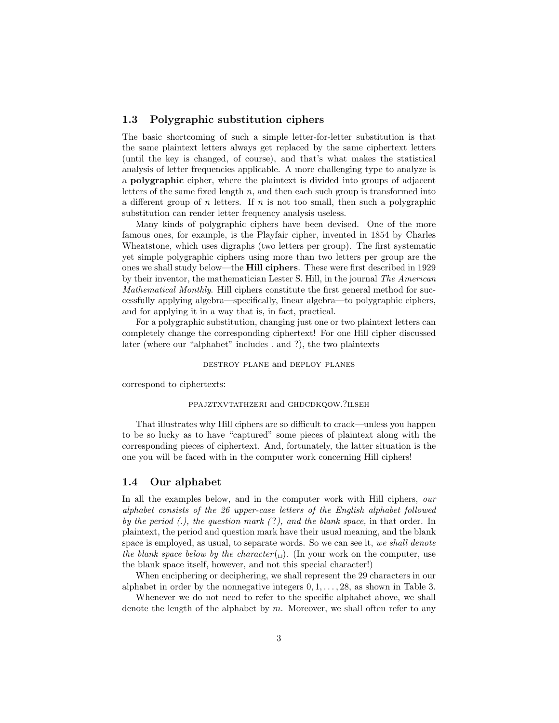### **1.3 Polygraphic substitution ciphers**

The basic shortcoming of such a simple letter-for-letter substitution is that the same plaintext letters always get replaced by the same ciphertext letters (until the key is changed, of course), and that's what makes the statistical analysis of letter frequencies applicable. A more challenging type to analyze is a **polygraphic** cipher, where the plaintext is divided into groups of adjacent letters of the same fixed length  $n$ , and then each such group is transformed into a different group of n letters. If n is not too small, then such a polygraphic substitution can render letter frequency analysis useless.

Many kinds of polygraphic ciphers have been devised. One of the more famous ones, for example, is the Playfair cipher, invented in 1854 by Charles Wheatstone, which uses digraphs (two letters per group). The first systematic yet simple polygraphic ciphers using more than two letters per group are the ones we shall study below—the **Hill ciphers**. These were first described in 1929 by their inventor, the mathematician Lester S. Hill, in the journal The American Mathematical Monthly. Hill ciphers constitute the first general method for successfully applying algebra—specifically, linear algebra—to polygraphic ciphers, and for applying it in a way that is, in fact, practical.

For a polygraphic substitution, changing just one or two plaintext letters can completely change the corresponding ciphertext! For one Hill cipher discussed later (where our "alphabet" includes . and ?), the two plaintexts

#### destroy plane and deploy planes

correspond to ciphertexts:

#### ppajztxvtathzeri and ghdcdkqow.?ilseh

That illustrates why Hill ciphers are so difficult to crack—unless you happen to be so lucky as to have "captured" some pieces of plaintext along with the corresponding pieces of ciphertext. And, fortunately, the latter situation is the one you will be faced with in the computer work concerning Hill ciphers!

### **1.4 Our alphabet**

In all the examples below, and in the computer work with Hill ciphers, our alphabet consists of the 26 upper-case letters of the English alphabet followed by the period  $(.)$ , the question mark  $(?)$ , and the blank space, in that order. In plaintext, the period and question mark have their usual meaning, and the blank space is employed, as usual, to separate words. So we can see it, we shall denote the blank space below by the character  $(\cdot)$ . (In your work on the computer, use the blank space itself, however, and not this special character!)

When enciphering or deciphering, we shall represent the 29 characters in our alphabet in order by the nonnegative integers  $0, 1, \ldots, 28$ , as shown in Table 3.

Whenever we do not need to refer to the specific alphabet above, we shall denote the length of the alphabet by  $m$ . Moreover, we shall often refer to any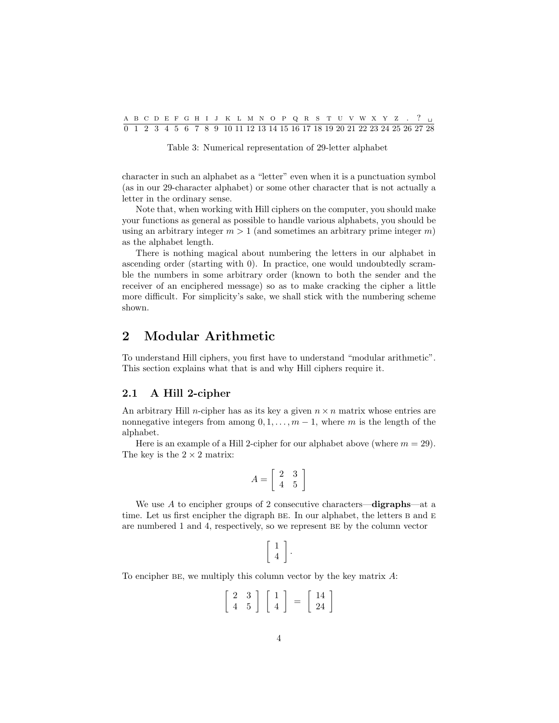|  |  |  |  |  | A B C D E F G H I J K L M N O P Q R S T U V W X Y Z . ? .                    |  |  |  |  |  |  |  |  |  |
|--|--|--|--|--|------------------------------------------------------------------------------|--|--|--|--|--|--|--|--|--|
|  |  |  |  |  | 0 1 2 3 4 5 6 7 8 9 10 11 12 13 14 15 16 17 18 19 20 21 22 23 24 25 26 27 28 |  |  |  |  |  |  |  |  |  |

Table 3: Numerical representation of 29-letter alphabet

character in such an alphabet as a "letter" even when it is a punctuation symbol (as in our 29-character alphabet) or some other character that is not actually a letter in the ordinary sense.

Note that, when working with Hill ciphers on the computer, you should make your functions as general as possible to handle various alphabets, you should be using an arbitrary integer  $m > 1$  (and sometimes an arbitrary prime integer m) as the alphabet length.

There is nothing magical about numbering the letters in our alphabet in ascending order (starting with 0). In practice, one would undoubtedly scramble the numbers in some arbitrary order (known to both the sender and the receiver of an enciphered message) so as to make cracking the cipher a little more difficult. For simplicity's sake, we shall stick with the numbering scheme shown.

## **2 Modular Arithmetic**

To understand Hill ciphers, you first have to understand "modular arithmetic". This section explains what that is and why Hill ciphers require it.

#### **2.1 A Hill 2-cipher**

An arbitrary Hill *n*-cipher has as its key a given  $n \times n$  matrix whose entries are nonnegative integers from among  $0, 1, \ldots, m-1$ , where m is the length of the alphabet.

Here is an example of a Hill 2-cipher for our alphabet above (where  $m = 29$ ). The key is the  $2 \times 2$  matrix:

$$
A = \left[ \begin{array}{cc} 2 & 3 \\ 4 & 5 \end{array} \right]
$$

We use A to encipher groups of 2 consecutive characters—**digraphs**—at a time. Let us first encipher the digraph BE. In our alphabet, the letters B and E are numbered 1 and 4, respectively, so we represent be by the column vector

$$
\left[\begin{array}{c}1\\4\end{array}\right].
$$

To encipher BE, we multiply this column vector by the key matrix  $A$ :

$$
\left[\begin{array}{cc}2 & 3\\4 & 5\end{array}\right]\left[\begin{array}{c}1\\4\end{array}\right] = \left[\begin{array}{c}14\\24\end{array}\right]
$$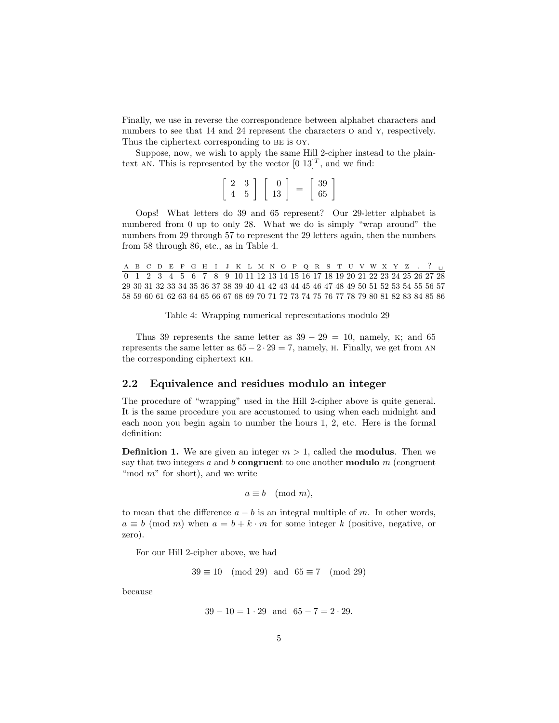Finally, we use in reverse the correspondence between alphabet characters and numbers to see that 14 and 24 represent the characters  $o$  and  $y$ , respectively. Thus the ciphertext corresponding to BE is OY.

Suppose, now, we wish to apply the same Hill 2-cipher instead to the plaintext AN. This is represented by the vector  $[0 \ 13]^T$ , and we find:

|  | $\Omega$ | 39 |
|--|----------|----|
|  | 13       | 65 |

Oops! What letters do 39 and 65 represent? Our 29-letter alphabet is numbered from 0 up to only 28. What we do is simply "wrap around" the numbers from 29 through 57 to represent the 29 letters again, then the numbers from 58 through 86, etc., as in Table 4.

A B C D E F G H I J K L M N O P Q R S T U V W X Y Z . ? U 0 1 2 3 4 5 6 7 8 9 10 11 12 13 14 15 16 17 18 19 20 21 22 23 24 25 26 27 28 29 30 31 32 33 34 35 36 37 38 39 40 41 42 43 44 45 46 47 48 49 50 51 52 53 54 55 56 57 58 59 60 61 62 63 64 65 66 67 68 69 70 71 72 73 74 75 76 77 78 79 80 81 82 83 84 85 86

Table 4: Wrapping numerical representations modulo 29

Thus 39 represents the same letter as  $39 - 29 = 10$ , namely, K; and 65 represents the same letter as  $65 - 2 \cdot 29 = 7$ , namely, H. Finally, we get from AN the corresponding ciphertext kh.

#### **2.2 Equivalence and residues modulo an integer**

The procedure of "wrapping" used in the Hill 2-cipher above is quite general. It is the same procedure you are accustomed to using when each midnight and each noon you begin again to number the hours 1, 2, etc. Here is the formal definition:

**Definition 1.** We are given an integer  $m > 1$ , called the **modulus**. Then we say that two integers a and b **congruent** to one another **modulo** m (congruent "mod  $m$ " for short), and we write

$$
a \equiv b \pmod{m},
$$

to mean that the difference  $a - b$  is an integral multiple of m. In other words,  $a \equiv b \pmod{m}$  when  $a = b + k \cdot m$  for some integer k (positive, negative, or zero).

For our Hill 2-cipher above, we had

 $39 \equiv 10 \pmod{29}$  and  $65 \equiv 7 \pmod{29}$ 

because

$$
39 - 10 = 1 \cdot 29 \quad \text{and} \quad 65 - 7 = 2 \cdot 29.
$$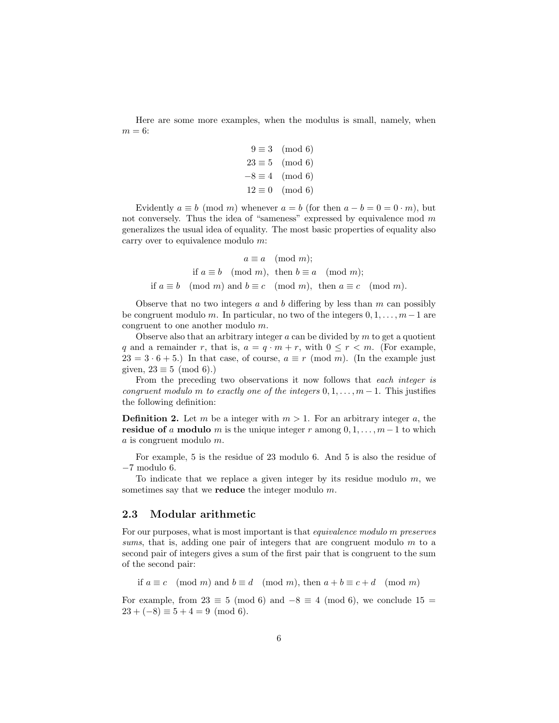Here are some more examples, when the modulus is small, namely, when  $m = 6$ :

$$
9 \equiv 3 \pmod{6}
$$
  

$$
23 \equiv 5 \pmod{6}
$$
  

$$
-8 \equiv 4 \pmod{6}
$$
  

$$
12 \equiv 0 \pmod{6}
$$

Evidently  $a \equiv b \pmod{m}$  whenever  $a = b$  (for then  $a - b = 0 = 0 \cdot m$ ), but not conversely. Thus the idea of "sameness" expressed by equivalence mod  $m$ generalizes the usual idea of equality. The most basic properties of equality also carry over to equivalence modulo  $m$ :

$$
a \equiv a \pmod{m};
$$
  
if  $a \equiv b \pmod{m}$ , then  $b \equiv a \pmod{m}$ ;  
if  $a \equiv b \pmod{m}$  and  $b \equiv c \pmod{m}$ , then  $a \equiv c \pmod{m}$ .

Observe that no two integers a and b differing by less than  $m$  can possibly be congruent modulo m. In particular, no two of the integers  $0, 1, \ldots, m-1$  are congruent to one another modulo m.

Observe also that an arbitrary integer  $a$  can be divided by  $m$  to get a quotient q and a remainder r, that is,  $a = q \cdot m + r$ , with  $0 \le r < m$ . (For example,  $23 = 3 \cdot 6 + 5$ .) In that case, of course,  $a \equiv r \pmod{m}$ . (In the example just given,  $23 \equiv 5 \pmod{6}$ .

From the preceding two observations it now follows that each integer is congruent modulo m to exactly one of the integers  $0, 1, \ldots, m-1$ . This justifies the following definition:

**Definition 2.** Let m be a integer with  $m > 1$ . For an arbitrary integer a, the **residue of** a **modulo** m is the unique integer r among  $0, 1, \ldots, m-1$  to which a is congruent modulo m.

For example, 5 is the residue of 23 modulo 6. And 5 is also the residue of −7 modulo 6.

To indicate that we replace a given integer by its residue modulo  $m$ , we sometimes say that we **reduce** the integer modulo m.

#### **2.3 Modular arithmetic**

For our purposes, what is most important is that equivalence modulo m preserves sums, that is, adding one pair of integers that are congruent modulo  $m$  to a second pair of integers gives a sum of the first pair that is congruent to the sum of the second pair:

if  $a \equiv c \pmod{m}$  and  $b \equiv d \pmod{m}$ , then  $a + b \equiv c + d \pmod{m}$ 

For example, from  $23 \equiv 5 \pmod{6}$  and  $-8 \equiv 4 \pmod{6}$ , we conclude  $15 =$  $23 + (-8) \equiv 5 + 4 = 9 \pmod{6}$ .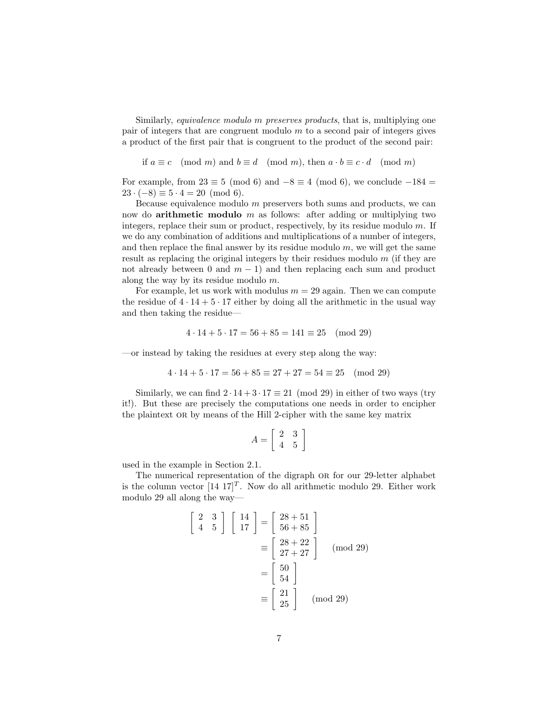Similarly, equivalence modulo m preserves products, that is, multiplying one pair of integers that are congruent modulo  $m$  to a second pair of integers gives a product of the first pair that is congruent to the product of the second pair:

if  $a \equiv c \pmod{m}$  and  $b \equiv d \pmod{m}$ , then  $a \cdot b \equiv c \cdot d \pmod{m}$ 

For example, from  $23 \equiv 5 \pmod{6}$  and  $-8 \equiv 4 \pmod{6}$ , we conclude  $-184 =$  $23 \cdot (-8) \equiv 5 \cdot 4 = 20 \pmod{6}$ .

Because equivalence modulo m preservers both sums and products, we can now do **arithmetic modulo** m as follows: after adding or multiplying two integers, replace their sum or product, respectively, by its residue modulo m. If we do any combination of additions and multiplications of a number of integers, and then replace the final answer by its residue modulo  $m$ , we will get the same result as replacing the original integers by their residues modulo m (if they are not already between 0 and  $m - 1$ ) and then replacing each sum and product along the way by its residue modulo m.

For example, let us work with modulus  $m = 29$  again. Then we can compute the residue of  $4 \cdot 14 + 5 \cdot 17$  either by doing all the arithmetic in the usual way and then taking the residue—

$$
4 \cdot 14 + 5 \cdot 17 = 56 + 85 = 141 \equiv 25 \pmod{29}
$$

—or instead by taking the residues at every step along the way:

$$
4 \cdot 14 + 5 \cdot 17 = 56 + 85 \equiv 27 + 27 = 54 \equiv 25 \pmod{29}
$$

Similarly, we can find  $2 \cdot 14 + 3 \cdot 17 \equiv 21 \pmod{29}$  in either of two ways (try it!). But these are precisely the computations one needs in order to encipher the plaintext or by means of the Hill 2-cipher with the same key matrix

$$
A = \left[ \begin{array}{cc} 2 & 3 \\ 4 & 5 \end{array} \right]
$$

used in the example in Section 2.1.

The numerical representation of the digraph OR for our 29-letter alphabet is the column vector  $[14 \t17]^T$ . Now do all arithmetic modulo 29. Either work modulo 29 all along the way—

$$
\begin{bmatrix} 2 & 3 \ 4 & 5 \end{bmatrix} \begin{bmatrix} 14 \ 17 \end{bmatrix} = \begin{bmatrix} 28 + 51 \ 56 + 85 \end{bmatrix}
$$

$$
\equiv \begin{bmatrix} 28 + 22 \ 27 + 27 \end{bmatrix} \pmod{29}
$$

$$
= \begin{bmatrix} 50 \ 54 \end{bmatrix}
$$

$$
\equiv \begin{bmatrix} 21 \ 25 \end{bmatrix} \pmod{29}
$$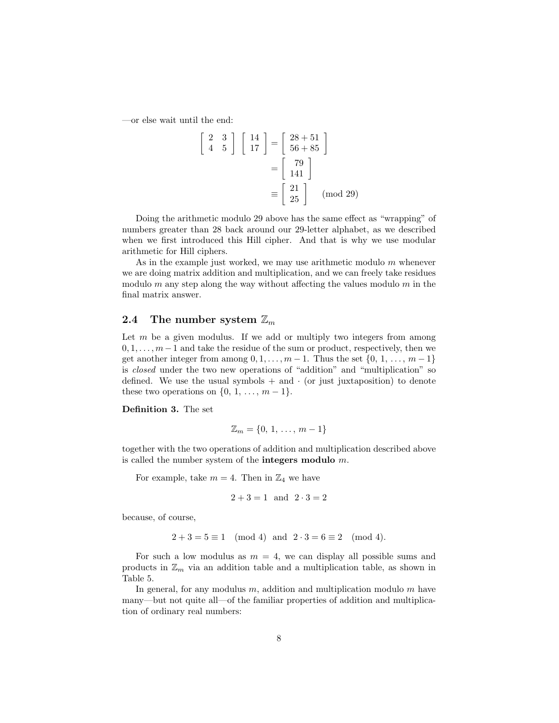—or else wait until the end:

$$
\begin{bmatrix} 2 & 3 \ 4 & 5 \end{bmatrix} \begin{bmatrix} 14 \ 17 \end{bmatrix} = \begin{bmatrix} 28 + 51 \ 56 + 85 \end{bmatrix}
$$

$$
= \begin{bmatrix} 79 \ 141 \end{bmatrix}
$$

$$
\equiv \begin{bmatrix} 21 \ 25 \end{bmatrix} \pmod{29}
$$

Doing the arithmetic modulo 29 above has the same effect as "wrapping" of numbers greater than 28 back around our 29-letter alphabet, as we described when we first introduced this Hill cipher. And that is why we use modular arithmetic for Hill ciphers.

As in the example just worked, we may use arithmetic modulo  $m$  whenever we are doing matrix addition and multiplication, and we can freely take residues modulo m any step along the way without affecting the values modulo  $m$  in the final matrix answer.

### **2.4** The number system  $\mathbb{Z}_m$

Let  $m$  be a given modulus. If we add or multiply two integers from among  $0, 1, \ldots, m-1$  and take the residue of the sum or product, respectively, then we get another integer from among  $0, 1, \ldots, m-1$ . Thus the set  $\{0, 1, \ldots, m-1\}$ is closed under the two new operations of "addition" and "multiplication" so defined. We use the usual symbols  $+$  and  $\cdot$  (or just juxtaposition) to denote these two operations on  $\{0, 1, \ldots, m-1\}.$ 

**Definition 3.** The set

$$
\mathbb{Z}_m = \{0, 1, \ldots, m-1\}
$$

together with the two operations of addition and multiplication described above is called the number system of the **integers modulo** m.

For example, take  $m = 4$ . Then in  $\mathbb{Z}_4$  we have

$$
2 + 3 = 1
$$
 and  $2 \cdot 3 = 2$ 

because, of course,

$$
2 + 3 = 5 \equiv 1 \pmod{4}
$$
 and  $2 \cdot 3 = 6 \equiv 2 \pmod{4}$ .

For such a low modulus as  $m = 4$ , we can display all possible sums and products in  $\mathbb{Z}_m$  via an addition table and a multiplication table, as shown in Table 5.

In general, for any modulus  $m$ , addition and multiplication modulo  $m$  have many—but not quite all—of the familiar properties of addition and multiplication of ordinary real numbers: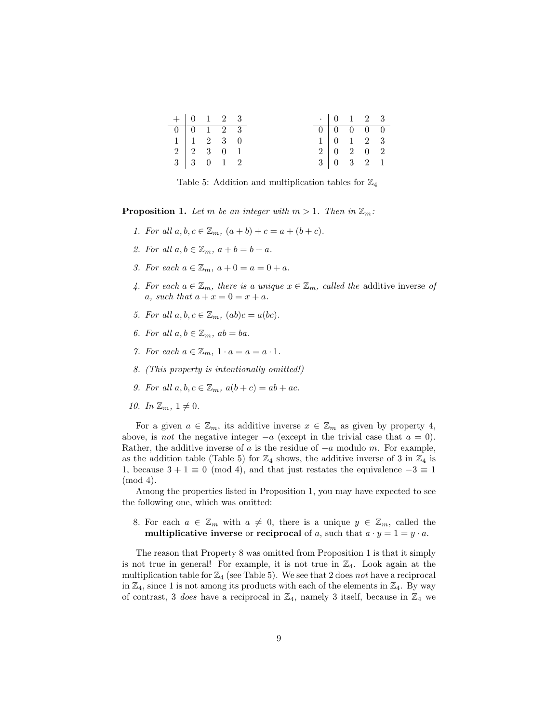| $+ 0 1 2 3$ |                                    |  |  | $\cdot$ 0 1 2 3                                             |  |  |
|-------------|------------------------------------|--|--|-------------------------------------------------------------|--|--|
|             | $0 \t 0 \t 1 \t 2 \t 3$            |  |  | $\begin{array}{cccccc}\n\hline\n0 & 0 & 0 & 0\n\end{array}$ |  |  |
|             | $1 \mid 1 \quad 2 \quad 3 \quad 0$ |  |  | $1 \t 0 \t 1 \t 2 \t 3$                                     |  |  |
|             | $2 \mid 2 \quad 3 \quad 0 \quad 1$ |  |  | $2 \begin{bmatrix} 0 & 2 & 0 & 2 \end{bmatrix}$             |  |  |
|             | $3 \mid 3 \quad 0 \quad 1 \quad 2$ |  |  | $3 \mid 0 \quad 3 \quad 2 \quad 1$                          |  |  |

Table 5: Addition and multiplication tables for  $\mathbb{Z}_4$ 

**Proposition 1.** Let m be an integer with  $m > 1$ . Then in  $\mathbb{Z}_m$ :

- 1. For all  $a, b, c \in \mathbb{Z}_m$ ,  $(a + b) + c = a + (b + c)$ .
- 2. For all  $a, b \in \mathbb{Z}_m$ ,  $a + b = b + a$ .
- 3. For each  $a \in \mathbb{Z}_m$ ,  $a + 0 = a = 0 + a$ .
- 4. For each  $a \in \mathbb{Z}_m$ , there is a unique  $x \in \mathbb{Z}_m$ , called the additive inverse of a, such that  $a + x = 0 = x + a$ .
- 5. For all  $a, b, c \in \mathbb{Z}_m$ ,  $(ab)c = a(bc)$ .
- 6. For all  $a, b \in \mathbb{Z}_m$ ,  $ab = ba$ .
- 7. For each  $a \in \mathbb{Z}_m$ ,  $1 \cdot a = a = a \cdot 1$ .
- 8. (This property is intentionally omitted!)
- 9. For all  $a, b, c \in \mathbb{Z}_m$ ,  $a(b+c) = ab + ac$ .
- 10. In  $\mathbb{Z}_m$ ,  $1 \neq 0$ .

For a given  $a \in \mathbb{Z}_m$ , its additive inverse  $x \in \mathbb{Z}_m$  as given by property 4, above, is *not* the negative integer  $-a$  (except in the trivial case that  $a = 0$ ). Rather, the additive inverse of a is the residue of  $-a$  modulo m. For example, as the addition table (Table 5) for  $\mathbb{Z}_4$  shows, the additive inverse of 3 in  $\mathbb{Z}_4$  is 1, because  $3 + 1 \equiv 0 \pmod{4}$ , and that just restates the equivalence  $-3 \equiv 1$ (mod 4).

Among the properties listed in Proposition 1, you may have expected to see the following one, which was omitted:

8. For each  $a \in \mathbb{Z}_m$  with  $a \neq 0$ , there is a unique  $y \in \mathbb{Z}_m$ , called the **multiplicative inverse** or **reciprocal** of a, such that  $a \cdot y = 1 = y \cdot a$ .

The reason that Property 8 was omitted from Proposition 1 is that it simply is not true in general! For example, it is not true in  $\mathbb{Z}_4$ . Look again at the multiplication table for  $\mathbb{Z}_4$  (see Table 5). We see that 2 does not have a reciprocal in  $\mathbb{Z}_4$ , since 1 is not among its products with each of the elements in  $\mathbb{Z}_4$ . By way of contrast, 3 does have a reciprocal in  $\mathbb{Z}_4$ , namely 3 itself, because in  $\mathbb{Z}_4$  we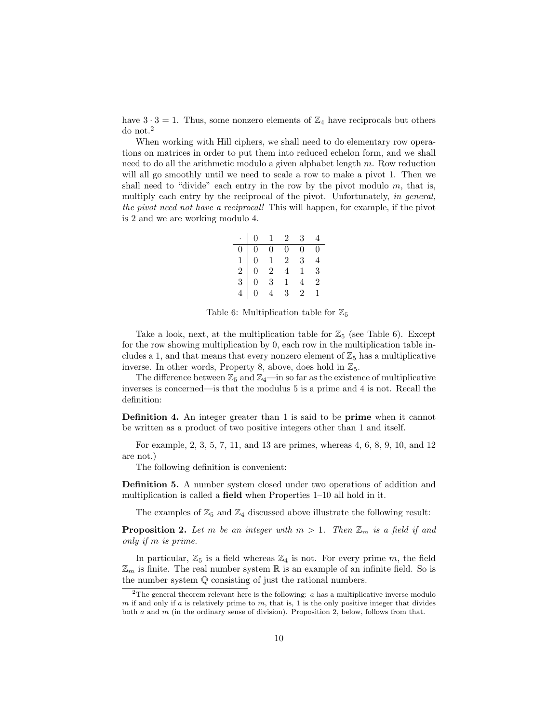have  $3 \cdot 3 = 1$ . Thus, some nonzero elements of  $\mathbb{Z}_4$  have reciprocals but others do not.<sup>2</sup>

When working with Hill ciphers, we shall need to do elementary row operations on matrices in order to put them into reduced echelon form, and we shall need to do all the arithmetic modulo a given alphabet length  $m$ . Row reduction will all go smoothly until we need to scale a row to make a pivot 1. Then we shall need to "divide" each entry in the row by the pivot modulo  $m$ , that is, multiply each entry by the reciprocal of the pivot. Unfortunately, in general, the pivot need not have a reciprocal! This will happen, for example, if the pivot is 2 and we are working modulo 4.

|  |                                                                                                                        | $\cdot$   0   1   2   3 | 4              |
|--|------------------------------------------------------------------------------------------------------------------------|-------------------------|----------------|
|  |                                                                                                                        | $\overline{0}$          | $\overline{0}$ |
|  |                                                                                                                        | 3 <sup>1</sup>          | $\overline{4}$ |
|  |                                                                                                                        | $1 \quad 3$             |                |
|  | $\begin{array}{c cccc} 0 & 0 & 0 & 0 \\ 1 & 0 & 1 & 2 \\ 2 & 0 & 2 & 4 \\ 3 & 0 & 3 & 1 \\ 4 & 0 & 4 & 3 \end{array}.$ |                         | $\overline{2}$ |
|  |                                                                                                                        | $2^{\circ}$             | $\mathbf{1}$   |

Table 6: Multiplication table for  $\mathbb{Z}_5$ 

Take a look, next, at the multiplication table for  $\mathbb{Z}_5$  (see Table 6). Except for the row showing multiplication by 0, each row in the multiplication table includes a 1, and that means that every nonzero element of  $\mathbb{Z}_5$  has a multiplicative inverse. In other words, Property 8, above, does hold in  $\mathbb{Z}_5$ .

The difference between  $\mathbb{Z}_5$  and  $\mathbb{Z}_4$ —in so far as the existence of multiplicative inverses is concerned—is that the modulus 5 is a prime and 4 is not. Recall the definition:

**Definition 4.** An integer greater than 1 is said to be **prime** when it cannot be written as a product of two positive integers other than 1 and itself.

For example, 2, 3, 5, 7, 11, and 13 are primes, whereas 4, 6, 8, 9, 10, and 12 are not.)

The following definition is convenient:

**Definition 5.** A number system closed under two operations of addition and multiplication is called a **field** when Properties 1–10 all hold in it.

The examples of  $\mathbb{Z}_5$  and  $\mathbb{Z}_4$  discussed above illustrate the following result:

**Proposition 2.** Let m be an integer with  $m > 1$ . Then  $\mathbb{Z}_m$  is a field if and only if m is prime.

In particular,  $\mathbb{Z}_5$  is a field whereas  $\mathbb{Z}_4$  is not. For every prime m, the field  $\mathbb{Z}_m$  is finite. The real number system  $\mathbb R$  is an example of an infinite field. So is the number system Q consisting of just the rational numbers.

<sup>&</sup>lt;sup>2</sup>The general theorem relevant here is the following:  $a$  has a multiplicative inverse modulo  $m$  if and only if a is relatively prime to  $m$ , that is, 1 is the only positive integer that divides both  $a$  and  $m$  (in the ordinary sense of division). Proposition 2, below, follows from that.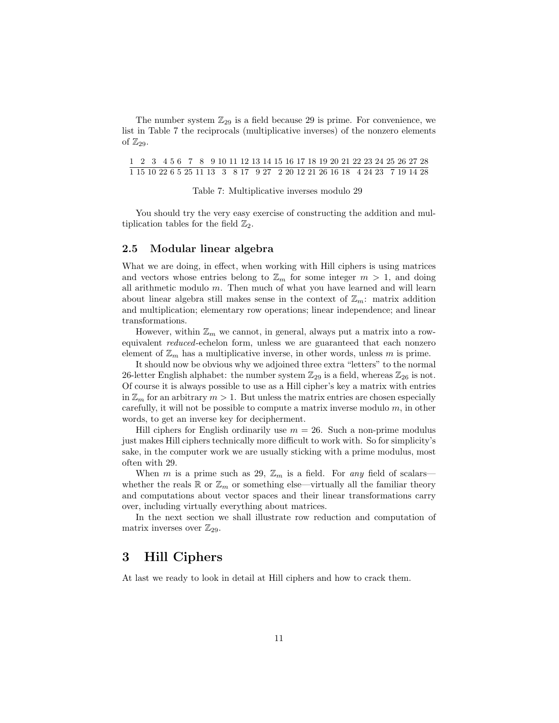The number system  $\mathbb{Z}_{29}$  is a field because 29 is prime. For convenience, we list in Table 7 the reciprocals (multiplicative inverses) of the nonzero elements of  $\mathbb{Z}_{29}$ .

1 2 3 4 5 6 7 8 9 10 11 12 13 14 15 16 17 18 19 20 21 22 23 24 25 26 27 28 1 15 10 22 6 5 25 11 13 3 8 17 9 27 2 20 12 21 26 16 18 4 24 23 7 19 14 28

Table 7: Multiplicative inverses modulo 29

You should try the very easy exercise of constructing the addition and multiplication tables for the field  $\mathbb{Z}_2$ .

#### **2.5 Modular linear algebra**

What we are doing, in effect, when working with Hill ciphers is using matrices and vectors whose entries belong to  $\mathbb{Z}_m$  for some integer  $m > 1$ , and doing all arithmetic modulo  $m$ . Then much of what you have learned and will learn about linear algebra still makes sense in the context of  $\mathbb{Z}_m$ : matrix addition and multiplication; elementary row operations; linear independence; and linear transformations.

However, within  $\mathbb{Z}_m$  we cannot, in general, always put a matrix into a rowequivalent reduced-echelon form, unless we are guaranteed that each nonzero element of  $\mathbb{Z}_m$  has a multiplicative inverse, in other words, unless m is prime.

It should now be obvious why we adjoined three extra "letters" to the normal 26-letter English alphabet: the number system  $\mathbb{Z}_{29}$  is a field, whereas  $\mathbb{Z}_{26}$  is not. Of course it is always possible to use as a Hill cipher's key a matrix with entries in  $\mathbb{Z}_m$  for an arbitrary  $m > 1$ . But unless the matrix entries are chosen especially carefully, it will not be possible to compute a matrix inverse modulo  $m$ , in other words, to get an inverse key for decipherment.

Hill ciphers for English ordinarily use  $m = 26$ . Such a non-prime modulus just makes Hill ciphers technically more difficult to work with. So for simplicity's sake, in the computer work we are usually sticking with a prime modulus, most often with 29.

When m is a prime such as 29,  $\mathbb{Z}_m$  is a field. For any field of scalars whether the reals  $\mathbb R$  or  $\mathbb Z_m$  or something else—virtually all the familiar theory and computations about vector spaces and their linear transformations carry over, including virtually everything about matrices.

In the next section we shall illustrate row reduction and computation of matrix inverses over  $\mathbb{Z}_{29}$ .

## **3 Hill Ciphers**

At last we ready to look in detail at Hill ciphers and how to crack them.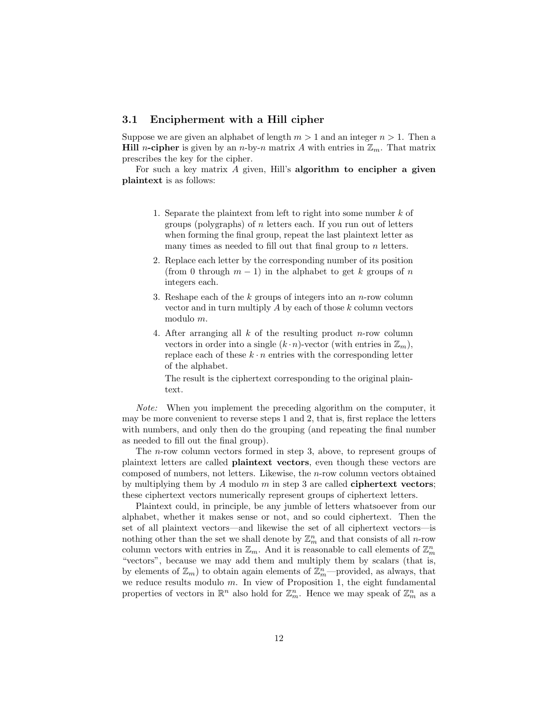### **3.1 Encipherment with a Hill cipher**

Suppose we are given an alphabet of length  $m > 1$  and an integer  $n > 1$ . Then a **Hill** n-cipher is given by an n-by-n matrix A with entries in  $\mathbb{Z}_m$ . That matrix prescribes the key for the cipher.

For such a key matrix A given, Hill's **algorithm to encipher a given plaintext** is as follows:

- 1. Separate the plaintext from left to right into some number k of groups (polygraphs) of n letters each. If you run out of letters when forming the final group, repeat the last plaintext letter as many times as needed to fill out that final group to  $n$  letters.
- 2. Replace each letter by the corresponding number of its position (from 0 through  $m-1$ ) in the alphabet to get k groups of n integers each.
- 3. Reshape each of the  $k$  groups of integers into an  $n$ -row column vector and in turn multiply  $A$  by each of those  $k$  column vectors modulo m.
- 4. After arranging all  $k$  of the resulting product n-row column vectors in order into a single  $(k \cdot n)$ -vector (with entries in  $\mathbb{Z}_m$ ), replace each of these  $k \cdot n$  entries with the corresponding letter of the alphabet.

The result is the ciphertext corresponding to the original plaintext.

Note: When you implement the preceding algorithm on the computer, it may be more convenient to reverse steps 1 and 2, that is, first replace the letters with numbers, and only then do the grouping (and repeating the final number as needed to fill out the final group).

The n-row column vectors formed in step 3, above, to represent groups of plaintext letters are called **plaintext vectors**, even though these vectors are composed of numbers, not letters. Likewise, the n-row column vectors obtained by multiplying them by A modulo m in step 3 are called **ciphertext vectors**; these ciphertext vectors numerically represent groups of ciphertext letters.

Plaintext could, in principle, be any jumble of letters whatsoever from our alphabet, whether it makes sense or not, and so could ciphertext. Then the set of all plaintext vectors—and likewise the set of all ciphertext vectors—is nothing other than the set we shall denote by  $\mathbb{Z}_m^n$  and that consists of all *n*-row column vectors with entries in  $\mathbb{Z}_m$ . And it is reasonable to call elements of  $\mathbb{Z}_m^n$ "vectors", because we may add them and multiply them by scalars (that is, by elements of  $\mathbb{Z}_m$ ) to obtain again elements of  $\mathbb{Z}_m^n$ —provided, as always, that we reduce results modulo  $m$ . In view of Proposition 1, the eight fundamental properties of vectors in  $\mathbb{R}^n$  also hold for  $\mathbb{Z}_m^n$ . Hence we may speak of  $\mathbb{Z}_m^n$  as a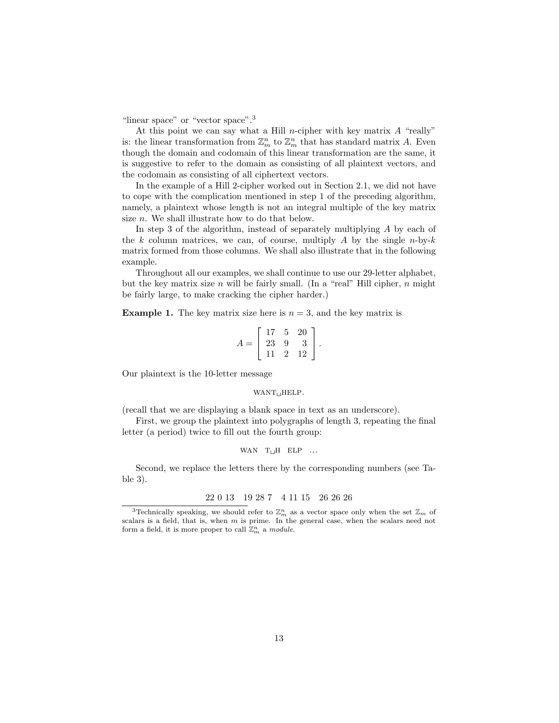"linear space" or "vector space".<sup>3</sup>

At this point we can say what a Hill n-cipher with key matrix  $A$  "really" is: the linear transformation from  $\mathbb{Z}_m^n$  to  $\mathbb{Z}_m^n$  that has standard matrix A. Even though the domain and codomain of this linear transformation are the same, it is suggestive to refer to the domain as consisting of all plaintext vectors, and the codomain as consisting of all ciphertext vectors.

In the example of a Hill 2-cipher worked out in Section 2.1, we did not have to cope with the complication mentioned in step 1 of the preceding algorithm, namely, a plaintext whose length is not an integral multiple of the key matrix size *n*. We shall illustrate how to do that below.

In step 3 of the algorithm, instead of separately multiplying A by each of the k column matrices, we can, of course, multiply A by the single  $n$ -by-k matrix formed from those columns. We shall also illustrate that in the following example.

Throughout all our examples, we shall continue to use our 29-letter alphabet, but the key matrix size n will be fairly small. (In a "real" Hill cipher,  $n$  might be fairly large, to make cracking the cipher harder.)

**Example 1.** The key matrix size here is  $n = 3$ , and the key matrix is

$$
A = \left[ \begin{array}{rrr} 17 & 5 & 20 \\ 23 & 9 & 3 \\ 11 & 2 & 12 \end{array} \right].
$$

Our plaintext is the 10-letter message

#### $WANT_UHELP$ .

(recall that we are displaying a blank space in text as an underscore).

First, we group the plaintext into polygraphs of length 3, repeating the final letter (a period) twice to fill out the fourth group:

$$
\text{WAN} \quad \text{T}_{\sqcup} \text{H} \quad \text{ELP} \quad \ldots
$$

Second, we replace the letters there by the corresponding numbers (see Table 3).

$$
22\ 0\ 13 \quad 19\ 28\ 7 \quad 4\ 11\ 15 \quad 26\ 26\ 26
$$

<sup>&</sup>lt;sup>3</sup>Technically speaking, we should refer to  $\mathbb{Z}_m^n$  as a vector space only when the set  $\mathbb{Z}_m$  of scalars is a field, that is, when  $m$  is prime. In the general case, when the scalars need not form a field, it is more proper to call  $\mathbb{Z}_m^n$  a *module*.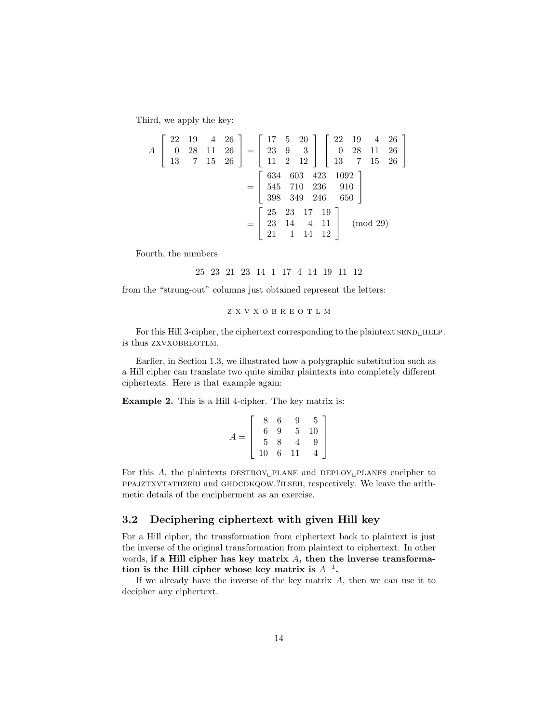Third, we apply the key:

$$
A\begin{bmatrix} 22 & 19 & 4 & 26 \ 0 & 28 & 11 & 26 \ 13 & 7 & 15 & 26 \end{bmatrix} = \begin{bmatrix} 17 & 5 & 20 \ 23 & 9 & 3 \ 11 & 2 & 12 \end{bmatrix} \begin{bmatrix} 22 & 19 & 4 & 26 \ 0 & 28 & 11 & 26 \ 13 & 7 & 15 & 26 \end{bmatrix}
$$

$$
= \begin{bmatrix} 634 & 603 & 423 & 1092 \ 545 & 710 & 236 & 910 \ 398 & 349 & 246 & 650 \end{bmatrix}
$$

$$
\equiv \begin{bmatrix} 25 & 23 & 17 & 19 \ 23 & 14 & 4 & 11 \ 21 & 1 & 14 & 12 \end{bmatrix} \pmod{29}
$$

Fourth, the numbers

25 23 21 23 14 1 17 4 14 19 11 12

from the "strung-out" columns just obtained represent the letters:

zxvxobreotlm

For this Hill 3-cipher, the ciphertext corresponding to the plaintext  $\text{SED}_\text{UHELP}$ . is thus ZXVXOBREOTLM.

Earlier, in Section 1.3, we illustrated how a polygraphic substitution such as a Hill cipher can translate two quite similar plaintexts into completely different ciphertexts. Here is that example again:

**Example 2.** This is a Hill 4-cipher. The key matrix is:

| 8              | 6           | 9              | 5 <sub>5</sub>  |
|----------------|-------------|----------------|-----------------|
| 6              | 9           | $\overline{5}$ | 10 <sup>1</sup> |
| $\overline{5}$ | $\check{8}$ |                | $\overline{9}$  |
| $10^{\circ}$   | $\,6\,$     | 11             |                 |

For this A, the plaintexts  $\text{DESTROY}_\text{U}$ PLANE and  $\text{DEPLOY}_\text{U}$ PLANES encipher to ppajztxvtathzeri and ghdcdkqow.?ilseh, respectively. We leave the arithmetic details of the encipherment as an exercise.

### **3.2 Deciphering ciphertext with given Hill key**

For a Hill cipher, the transformation from ciphertext back to plaintext is just the inverse of the original transformation from plaintext to ciphertext. In other words, **if a Hill cipher has key matrix** A**, then the inverse transformation is the Hill cipher whose key matrix is**  $A^{-1}$ **.** 

If we already have the inverse of the key matrix  $A$ , then we can use it to decipher any ciphertext.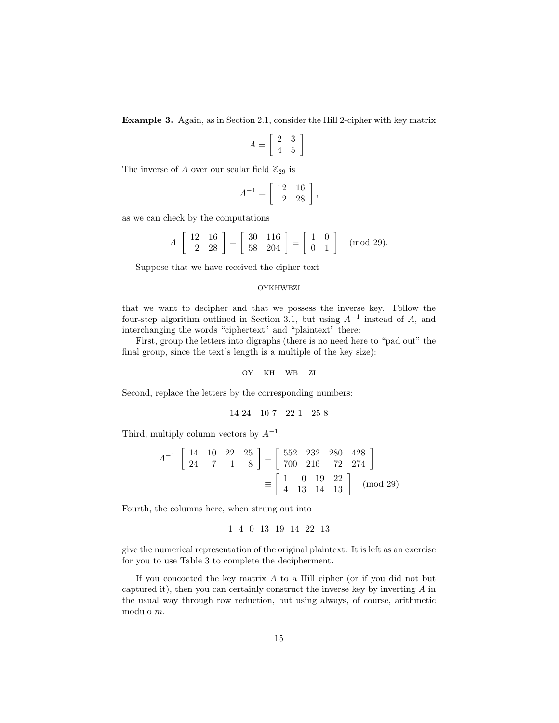**Example 3.** Again, as in Section 2.1, consider the Hill 2-cipher with key matrix

$$
A = \left[ \begin{array}{cc} 2 & 3 \\ 4 & 5 \end{array} \right]
$$

.

The inverse of A over our scalar field  $\mathbb{Z}_{29}$  is

$$
A^{-1} = \left[ \begin{array}{rr} 12 & 16 \\ 2 & 28 \end{array} \right],
$$

as we can check by the computations

$$
A\begin{bmatrix}12 & 16\\ 2 & 28\end{bmatrix} = \begin{bmatrix}30 & 116\\ 58 & 204\end{bmatrix} \equiv \begin{bmatrix}1 & 0\\ 0 & 1\end{bmatrix} \pmod{29}.
$$

Suppose that we have received the cipher text

#### oykhwbzi

that we want to decipher and that we possess the inverse key. Follow the four-step algorithm outlined in Section 3.1, but using  $A^{-1}$  instead of A, and interchanging the words "ciphertext" and "plaintext" there:

First, group the letters into digraphs (there is no need here to "pad out" the final group, since the text's length is a multiple of the key size):

oy kh wb zi

Second, replace the letters by the corresponding numbers:

$$
14\;24\quad 10\;7\quad 22\;1\quad 25\;8
$$

Third, multiply column vectors by  $A^{-1}$ :

$$
A^{-1} \begin{bmatrix} 14 & 10 & 22 & 25 \ 24 & 7 & 1 & 8 \end{bmatrix} = \begin{bmatrix} 552 & 232 & 280 & 428 \ 700 & 216 & 72 & 274 \end{bmatrix}
$$

$$
\equiv \begin{bmatrix} 1 & 0 & 19 & 22 \ 4 & 13 & 14 & 13 \end{bmatrix} \pmod{29}
$$

Fourth, the columns here, when strung out into

$$
1 \quad 4 \quad 0 \quad 13 \quad 19 \quad 14 \quad 22 \quad 13
$$

give the numerical representation of the original plaintext. It is left as an exercise for you to use Table 3 to complete the decipherment.

If you concocted the key matrix  $A$  to a Hill cipher (or if you did not but captured it), then you can certainly construct the inverse key by inverting A in the usual way through row reduction, but using always, of course, arithmetic modulo m.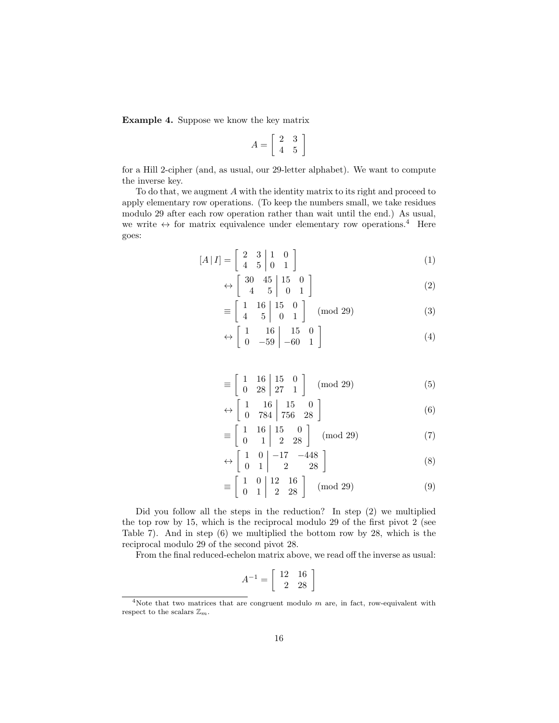**Example 4.** Suppose we know the key matrix

$$
A = \left[ \begin{array}{cc} 2 & 3 \\ 4 & 5 \end{array} \right]
$$

for a Hill 2-cipher (and, as usual, our 29-letter alphabet). We want to compute the inverse key.

To do that, we augment A with the identity matrix to its right and proceed to apply elementary row operations. (To keep the numbers small, we take residues modulo 29 after each row operation rather than wait until the end.) As usual, we write  $\leftrightarrow$  for matrix equivalence under elementary row operations.<sup>4</sup> Here goes:

$$
[A|I] = \begin{bmatrix} 2 & 3 & 1 & 0 \\ 4 & 5 & 0 & 1 \end{bmatrix}
$$
 (1)

$$
\leftrightarrow \left[ \begin{array}{ccc} 30 & 45 \\ 4 & 5 \end{array} \middle| \begin{array}{ccc} 15 & 0 \\ 0 & 1 \end{array} \right] \tag{2}
$$

$$
\equiv \left[ \begin{array}{cc} 1 & 16 \\ 4 & 5 \end{array} \right] \left[ \begin{array}{cc} 15 & 0 \\ 0 & 1 \end{array} \right] \pmod{29} \tag{3}
$$

$$
\leftrightarrow \left[\begin{array}{cc} 1 & 16 \\ 0 & -59 \end{array} \middle| \begin{array}{cc} 15 & 0 \\ -60 & 1 \end{array} \right] \tag{4}
$$

$$
\equiv \left[\begin{array}{cc} 1 & 16 \\ 0 & 28 \end{array}\middle| \begin{array}{cc} 15 & 0 \\ 27 & 1 \end{array}\right] \pmod{29} \tag{5}
$$

$$
\leftrightarrow \left[\begin{array}{cc} 1 & 16 \\ 0 & 784 \end{array} \middle| \begin{array}{cc} 15 & 0 \\ 756 & 28 \end{array} \right] \tag{6}
$$

$$
\equiv \left[\begin{array}{cc|c} 1 & 16 & 15 & 0 \\ 0 & 1 & 2 & 28 \end{array}\right] \pmod{29} \tag{7}
$$

$$
\leftrightarrow \left[\begin{array}{cc} 1 & 0 \\ 0 & 1 \end{array}\right] \left[\begin{array}{cc} -17 & -448 \\ 2 & 28 \end{array}\right] \tag{8}
$$

$$
\equiv \left[\begin{array}{cc|c} 1 & 0 & 12 & 16 \\ 0 & 1 & 2 & 28 \end{array}\right] \pmod{29} \tag{9}
$$

Did you follow all the steps in the reduction? In step (2) we multiplied the top row by 15, which is the reciprocal modulo 29 of the first pivot 2 (see Table 7). And in step (6) we multiplied the bottom row by 28, which is the reciprocal modulo 29 of the second pivot 28.

From the final reduced-echelon matrix above, we read off the inverse as usual:

$$
A^{-1} = \left[ \begin{array}{rr} 12 & 16 \\ 2 & 28 \end{array} \right]
$$

<sup>&</sup>lt;sup>4</sup>Note that two matrices that are congruent modulo  $m$  are, in fact, row-equivalent with respect to the scalars  $\mathbb{Z}_m$ .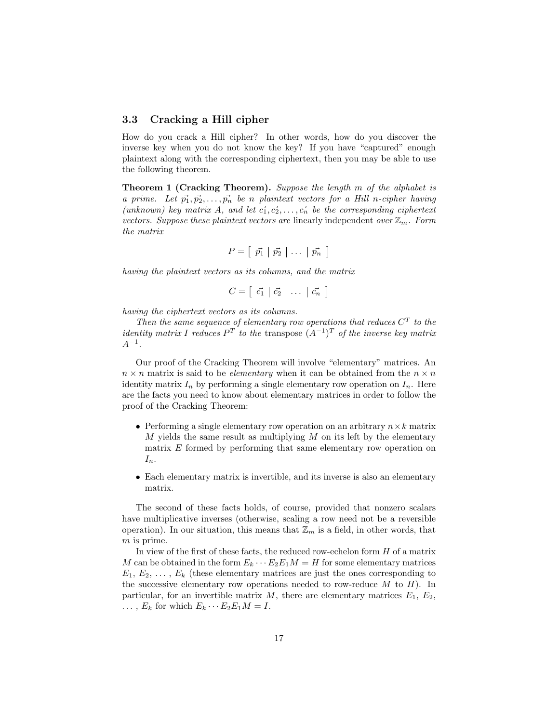#### **3.3 Cracking a Hill cipher**

How do you crack a Hill cipher? In other words, how do you discover the inverse key when you do not know the key? If you have "captured" enough plaintext along with the corresponding ciphertext, then you may be able to use the following theorem.

**Theorem 1 (Cracking Theorem).** Suppose the length m of the alphabet is a prime. Let  $\vec{p_1}, \vec{p_2}, \ldots, \vec{p_n}$  be n plaintext vectors for a Hill n-cipher having (unknown) key matrix A, and let  $\vec{c_1}, \vec{c_2}, \ldots, \vec{c_n}$  be the corresponding ciphertext vectors. Suppose these plaintext vectors are linearly independent over  $\mathbb{Z}_m$ . Form the matrix

$$
P = [\vec{p_1} | \vec{p_2} | \dots | \vec{p_n}]
$$

having the plaintext vectors as its columns, and the matrix

$$
C = \left[ \begin{array}{c|c} \vec{c_1} & \vec{c_2} & \dots & \vec{c_n} \end{array} \right]
$$

having the ciphertext vectors as its columns.

Then the same sequence of elementary row operations that reduces  $C<sup>T</sup>$  to the identity matrix I reduces  $P^{T}$  to the transpose  $(A^{-1})^{T}$  of the inverse key matrix  $A^{-1}$ .

Our proof of the Cracking Theorem will involve "elementary" matrices. An  $n \times n$  matrix is said to be *elementary* when it can be obtained from the  $n \times n$ identity matrix  $I_n$  by performing a single elementary row operation on  $I_n$ . Here are the facts you need to know about elementary matrices in order to follow the proof of the Cracking Theorem:

- Performing a single elementary row operation on an arbitrary  $n \times k$  matrix  $M$  yields the same result as multiplying  $M$  on its left by the elementary matrix E formed by performing that same elementary row operation on  $I_n$ .
- Each elementary matrix is invertible, and its inverse is also an elementary matrix.

The second of these facts holds, of course, provided that nonzero scalars have multiplicative inverses (otherwise, scaling a row need not be a reversible operation). In our situation, this means that  $\mathbb{Z}_m$  is a field, in other words, that m is prime.

In view of the first of these facts, the reduced row-echelon form  $H$  of a matrix M can be obtained in the form  $E_k \cdots E_2 E_1 M = H$  for some elementary matrices  $E_1, E_2, \ldots, E_k$  (these elementary matrices are just the ones corresponding to the successive elementary row operations needed to row-reduce  $M$  to  $H$ ). In particular, for an invertible matrix  $M$ , there are elementary matrices  $E_1, E_2$ ,  $\ldots$ ,  $E_k$  for which  $E_k \cdots E_2 E_1 M = I$ .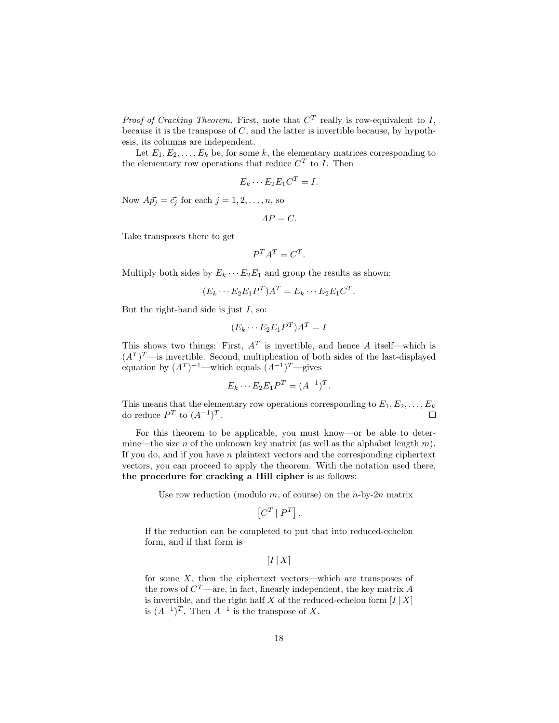*Proof of Cracking Theorem.* First, note that  $C<sup>T</sup>$  really is row-equivalent to I, because it is the transpose of  $C$ , and the latter is invertible because, by hypothesis, its columns are independent.

Let  $E_1, E_2, \ldots, E_k$  be, for some k, the elementary matrices corresponding to the elementary row operations that reduce  $C^T$  to I. Then

$$
E_k \cdots E_2 E_1 C^T = I.
$$

Now  $A\vec{p_j} = \vec{c_j}$  for each  $j = 1, 2, \ldots, n$ , so

$$
AP=C.
$$

Take transposes there to get

$$
P^T A^T = C^T.
$$

Multiply both sides by  $E_k \cdots E_2 E_1$  and group the results as shown:

$$
(E_k \cdots E_2 E_1 P^T) A^T = E_k \cdots E_2 E_1 C^T.
$$

But the right-hand side is just  $I$ , so:

$$
(E_k \cdots E_2 E_1 P^T)A^T = I
$$

This shows two things: First,  $A<sup>T</sup>$  is invertible, and hence A itself—which is  $(A<sup>T</sup>)<sup>T</sup>$ —is invertible. Second, multiplication of both sides of the last-displayed equation by  $(A^T)^{-1}$ —which equals  $(A^{-1})^T$ —gives

$$
E_k \cdots E_2 E_1 P^T = (A^{-1})^T.
$$

This means that the elementary row operations corresponding to  $E_1, E_2, \ldots, E_k$ do reduce  $P^T$  to  $(A^{-1})^T$ .  $\Box$ 

For this theorem to be applicable, you must know—or be able to determine—the size n of the unknown key matrix (as well as the alphabet length  $m$ ). If you do, and if you have  $n$  plaintext vectors and the corresponding ciphertext vectors, you can proceed to apply the theorem. With the notation used there, **the procedure for cracking a Hill cipher** is as follows:

Use row reduction (modulo  $m$ , of course) on the *n*-by-2*n* matrix

$$
\left[C^T \,|\, P^T\right].
$$

If the reduction can be completed to put that into reduced-echelon form, and if that form is

 $[I | X]$ 

for some  $X$ , then the ciphertext vectors—which are transposes of the rows of  $C^{T}$ —are, in fact, linearly independent, the key matrix A is invertible, and the right half  $X$  of the reduced-echelon form  $[I | X]$ is  $(A^{-1})^T$ . Then  $A^{-1}$  is the transpose of X.